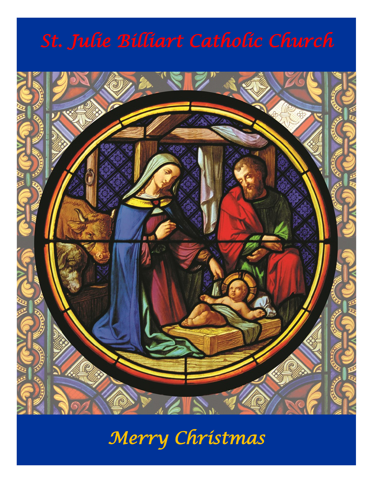# *St. Julie Billiart Catholic Church*



# *Merry Christmas*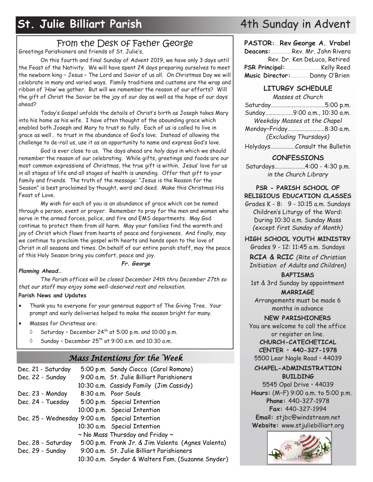## **St. Julie Billiart Parish 1986 1997 12:33 4th Sunday in Advent**

### From the Desk of Father George

Greetings Parishioners and friends of St. Julie's,

On this fourth and final Sunday of Advent 2019, we have only 3 days until the Feast of the Nativity. We will have spent 24 days preparing ourselves to meet the newborn king – Jesus – The Lord and Savior of us all. On Christmas Day we will celebrate in many and varied ways. Family traditions and customs are the wrap and ribbon of *'How'* we gather. But will we remember the reason of our efforts? Will the gift of Christ the Savior be the joy of our day as well as the hope of our days ahead?

Today's Gospel unfolds the details of Christ's birth as Joseph takes Mary into his home as his wife. I have often thought of the abounding grace which enabled both Joseph and Mary to trust so fully. Each of us is called to live in grace as well… to trust in the abundance of God's love. Instead of allowing the challenge to de-rail us, use it as an opportunity to name and express God's love.

God is ever close to us. The days ahead are *holy days* in which we should remember the reason of our celebrating. While gifts, greetings and foods are our most common expressions of Christmas, the true gift is within. Jesus' love for us in all stages of life and all stages of health is unending. Offer that gift to your family and friends. The truth of the message: "Jesus is the Reason for the Season" is best proclaimed by thought, word and deed. Make this Christmas His Feast of Love.

My wish for each of you is an abundance of grace which can be named through a person, event or prayer. Remember to pray for the men and women who serve in the armed forces, police, and fire and EMS departments. May God continue to protect them from all harm. May your families find the warmth and joy of Christ which flows from hearts of peace and forgiveness. And finally, may we continue to proclaim the gospel with hearts and hands open to the love of Christ in all seasons and times. On behalf of our entire parish staff, may the peace of this Holy Season bring you comfort, peace and joy.

#### *Planning Ahead…*

*Fr. George*

*The Parish offices will be closed December 24th thru December 27th so that our staff may enjoy some well-deserved rest and relaxation.* 

#### **Parish News and Updates**

- Thank you to everyone for your generous support of The Giving Tree. Your prompt and early deliveries helped to make the season bright for many.
- Masses for Christmas are:
	- $\lozenge$  Saturday December 24<sup>th</sup> at 5:00 p.m. and 10:00 p.m.
		- Sunday December  $25<sup>th</sup>$  at 9:00 a.m. and 10:30 a.m.

#### *Mass Intentions for the Week*

| Dec. 21 - Saturday                              | 5:00 p.m. Sandy Ciocca (Carol Romano)             |
|-------------------------------------------------|---------------------------------------------------|
| Dec. 22 - Sunday                                | 9:00 a.m. St. Julie Billiart Parishioners         |
|                                                 | 10:30 a.m. Cassidy Family (Jim Cassidy)           |
| Dec. 23 - Monday                                | 8:30 a.m. Poor Souls                              |
| Dec. 24 - Tuesday                               | 5:00 p.m. Special Intention                       |
|                                                 | 10:00 p.m. Special Intention                      |
| Dec. 25 - Wednesday 9:00 a.m. Special Intention |                                                   |
|                                                 | 10:30 a.m. Special Intention                      |
|                                                 | $\sim$ No Mass Thursday and Friday $\sim$         |
| Dec. 28 - Saturday                              | 5:00 p.m. Frank Jr. & Jim Valenta (Agnes Valenta) |
| Dec. 29 - Sunday                                | 9:00 a.m. St. Julie Billiart Parishioners         |
|                                                 | 10:30 a.m. Snyder & Walters Fam. (Suzanne Snyder) |

|                 | PASTOR: Rev. George A. Vrabel |
|-----------------|-------------------------------|
|                 | Deacons: Rev. Mr. John Rivera |
|                 | Rev. Dr. Ken DeLuca, Retired  |
|                 | PSR Principal: Kelly Reed     |
| Music Director: | Danny O'Brien                 |

#### **LITURGY SCHEDULE**

*Masses at Church* Saturday…………….…………………..5:00 p.m. Sunday…..……………9:00 a.m., 10:30 a.m. *Weekday Masses at the Chapel* Monday–Friday………………………8:30 a.m. *(Excluding Thursdays)* Holydays………………Consult the Bulletin

#### **CONFESSIONS**

Saturdays………………….4:00 - 4:30 p.m. *in the Church Library*

#### **PSR - PARISH SCHOOL OF RELIGIOUS EDUCATION CLASSES**

Grades K - 8: 9 - 10:15 a.m. Sundays Children's Liturgy of the Word: During 10:30 a.m. Sunday Mass *(except first Sunday of Month)*

**HIGH SCHOOL YOUTH MINISTRY** Grades 9 - 12: 11:45 a.m. Sundays

**RCIA & RCIC** *(Rite of Christian Initiation of Adults and Children)*

#### **BAPTISMS**

1st & 3rd Sunday by appointment

#### **MARRIAGE**

Arrangements must be made 6 months in advance

#### **NEW PARISHIONERS**

You are welcome to call the office or register on line.

**CHURCH-CATECHETICAL CENTER • 440-327-1978**

5500 Lear Nagle Road • 44039

#### **CHAPEL-ADMINISTRATION BUILDING**

5545 Opal Drive • 44039 **Hours:** (M–F) 9:00 a.m. to 5:00 p.m. **Phone:** 440-327-1978 **Fax:** 440-327-1994 **Email:** stjbc@windstream.net **Website:** www.stjuliebilliart.org

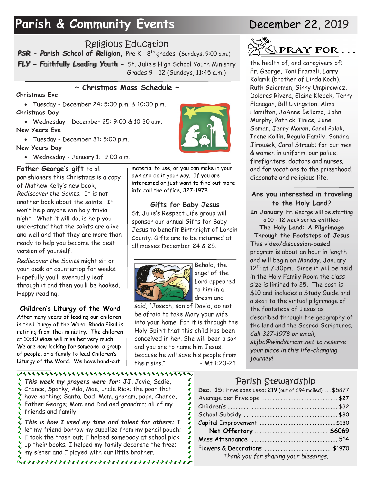## Parish & Community Events **December 22, 2019**

#### Religious Education

*PSR - P***arish** *S***chool of** *R***eligion,** Pre K - 8 th grades (Sundays, 9:00 a.m.) *FLY - F*aithfully *L*eading *Y*outh **-** St. Julie's High School Youth Ministry Grades 9 - 12 (Sundays, 11:45 a.m.)

#### **~ Christmas Mass Schedule ~**

#### **Christmas Eve**

• Tuesday - December 24: 5:00 p.m. & 10:00 p.m. **Christmas Day**

- Wednesday December 25: 9:00 & 10:30 a.m. **New Years Eve**
- Tuesday December 31: 5:00 p.m.
- **New Years Day**
	- Wednesday January 1: 9:00 a.m.

### **Father George's gift** to all

parishioners this Christmas is a copy of Mathew Kelly's new book, *Rediscover the Saints*. It is not another book about the saints. It won't help anyone win holy trivia night. What it will do, is help you understand that the saints are alive and well and that they are more than ready to help you become the best version of yourself.

*Rediscover the Saints* might sit on your desk or countertop for weeks. Hopefully you'll eventually leaf through it and then you'll be hooked. Happy reading.

#### **Children's Liturgy of the Word**

After many years of leading our children in the Liturgy of the Word, Rhoda Pikul is retiring from that ministry. The children at 10:30 Mass will miss her very much. We are now looking for someone, a group of people, or a family to lead Children's Liturgy of the Word. We have hand-out

material to use, or you can make it your own and do it your way. If you are interested or just want to find out more info call the office, 327-1978.

**Gifts for Baby Jesus** St. Julie's Respect Life group will sponsor our annual Gifts for Baby Jesus to benefit Birthright of Lorain County. Gifts are to be returned at all masses December 24 & 25.



Behold, the angel of the Lord appeared to him in a dream and

said, "Joseph, son of David, do not be afraid to take Mary your wife into your home. For it is through the Holy Spirit that this child has been conceived in her. She will bear a son and you are to name him Jesus, because he will save his people from their sins." - Mt 1:20-21

\*\*\*\*\*\*\*

きそうそうそう



the health of, and caregivers of: Fr. George, Toni Frameli, Larry Kolarik (brother of Linda Koch), Ruth Geierman, Ginny Umpirowicz, Dolores Rivera, Elaine Klepek, Terry Flanagan, Bill Livingston, Alma Hamilton, JoAnne Bellomo, John Murphy, Patrick Tinics, June Seman, Jerry Moran, Carol Polak, Irene Kollin, Regula Family, Sondra Jirousek, Carol Straub; for our men & women in uniform, our police, firefighters, doctors and nurses; and for vocations to the priesthood, diaconate and religious life.

#### **Are you interested in traveling to the Holy Land?**

**In January** Fr. George will be starting a 10 - 12 week series entitled:

**The Holy Land: A Pilgrimage** 

**Through the Footsteps of Jesus** This video/discussion-based program is about an hour in length and will begin on Monday, January 12<sup>th</sup> at 7:30pm. Since it will be held in the Holy Family Room the class size is limited to 25. The cost is \$10 and includes a Study Guide and a seat to the virtual pilgrimage of the footsteps of Jesus as described through the geography of the land and the Sacred Scriptures. *Call 327-1978 or email, stjbc@windstream.net to reserve your place in this life-changing journey!*

Parish Stewardship

| Dec. 15: Envelopes used: 219 (out of 694 mailed)  \$5877 |  |
|----------------------------------------------------------|--|
| Average per Envelope \$27                                |  |
|                                                          |  |
|                                                          |  |
| Capital Improvement \$130                                |  |
|                                                          |  |
|                                                          |  |
| Flowers & Decorations  \$1970                            |  |
| Thank you for sharing your blessings.                    |  |

*This week my prayers were for:* JJ, Jovie, Sadie, Chance, Sparky, Ada, Mae, uncle Rick; the poor that have nothing; Santa; Dad, Mom, granam, papa, Chance, Father George; Mom and Dad and grandma; all of my friends and family.

*This is how I used my time and talent for others:* I let my friend borrow my supplize from my pencil pouch; I took the trash out; I helped somebody at school pick up their books; I helped my family decorate the tree; my sister and I played with our little brother.